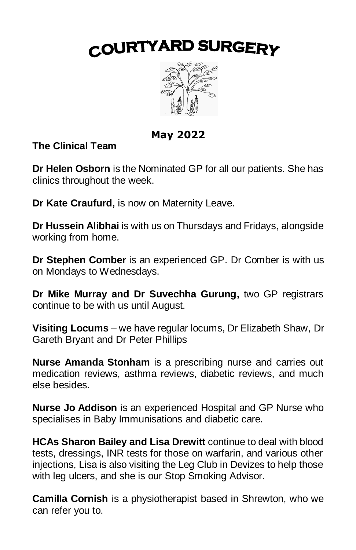# COURTYARD SURGERY



**May 2022**

**The Clinical Team**

**Dr Helen Osborn** is the Nominated GP for all our patients. She has clinics throughout the week.

**Dr Kate Craufurd,** is now on Maternity Leave.

**Dr Hussein Alibhai** is with us on Thursdays and Fridays, alongside working from home.

**Dr Stephen Comber** is an experienced GP. Dr Comber is with us on Mondays to Wednesdays.

**Dr Mike Murray and Dr Suvechha Gurung,** two GP registrars continue to be with us until August.

**Visiting Locums** – we have regular locums, Dr Elizabeth Shaw, Dr Gareth Bryant and Dr Peter Phillips

**Nurse Amanda Stonham** is a prescribing nurse and carries out medication reviews, asthma reviews, diabetic reviews, and much else besides.

**Nurse Jo Addison** is an experienced Hospital and GP Nurse who specialises in Baby Immunisations and diabetic care.

**HCAs Sharon Bailey and Lisa Drewitt** continue to deal with blood tests, dressings, INR tests for those on warfarin, and various other injections, Lisa is also visiting the Leg Club in Devizes to help those with leg ulcers, and she is our Stop Smoking Advisor.

**Camilla Cornish** is a physiotherapist based in Shrewton, who we can refer you to.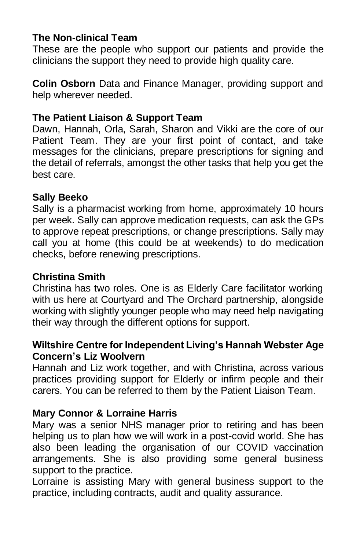### **The Non-clinical Team**

These are the people who support our patients and provide the clinicians the support they need to provide high quality care.

**Colin Osborn** Data and Finance Manager, providing support and help wherever needed.

### **The Patient Liaison & Support Team**

Dawn, Hannah, Orla, Sarah, Sharon and Vikki are the core of our Patient Team. They are your first point of contact, and take messages for the clinicians, prepare prescriptions for signing and the detail of referrals, amongst the other tasks that help you get the best care.

#### **Sally Beeko**

Sally is a pharmacist working from home, approximately 10 hours per week. Sally can approve medication requests, can ask the GPs to approve repeat prescriptions, or change prescriptions. Sally may call you at home (this could be at weekends) to do medication checks, before renewing prescriptions.

#### **Christina Smith**

Christina has two roles. One is as Elderly Care facilitator working with us here at Courtyard and The Orchard partnership, alongside working with slightly younger people who may need help navigating their way through the different options for support.

#### **Wiltshire Centre for Independent Living's Hannah Webster Age Concern's Liz Woolvern**

Hannah and Liz work together, and with Christina, across various practices providing support for Elderly or infirm people and their carers. You can be referred to them by the Patient Liaison Team.

#### **Mary Connor & Lorraine Harris**

Mary was a senior NHS manager prior to retiring and has been helping us to plan how we will work in a post-covid world. She has also been leading the organisation of our COVID vaccination arrangements. She is also providing some general business support to the practice.

Lorraine is assisting Mary with general business support to the practice, including contracts, audit and quality assurance.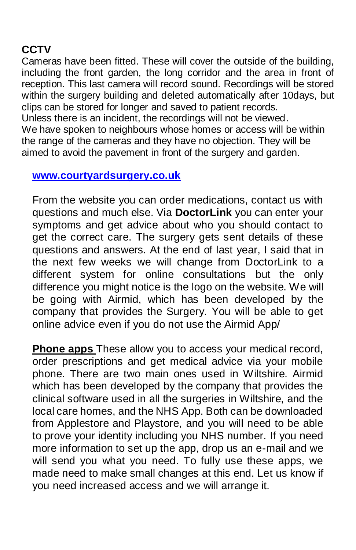# **CCTV**

Cameras have been fitted. These will cover the outside of the building, including the front garden, the long corridor and the area in front of reception. This last camera will record sound. Recordings will be stored within the surgery building and deleted automatically after 10days, but clips can be stored for longer and saved to patient records.

Unless there is an incident, the recordings will not be viewed. We have spoken to neighbours whose homes or access will be within the range of the cameras and they have no objection. They will be aimed to avoid the pavement in front of the surgery and garden.

### **[www.courtyardsurgery.co.uk](http://www.courtyardsurgery.co.uk/)**

From the website you can order medications, contact us with questions and much else. Via **DoctorLink** you can enter your symptoms and get advice about who you should contact to get the correct care. The surgery gets sent details of these questions and answers. At the end of last year, I said that in the next few weeks we will change from DoctorLink to a different system for online consultations but the only difference you might notice is the logo on the website. We will be going with Airmid, which has been developed by the company that provides the Surgery. You will be able to get online advice even if you do not use the Airmid App/

**Phone apps** These allow you to access your medical record, order prescriptions and get medical advice via your mobile phone. There are two main ones used in Wiltshire. Airmid which has been developed by the company that provides the clinical software used in all the surgeries in Wiltshire, and the local care homes, and the NHS App. Both can be downloaded from Applestore and Playstore, and you will need to be able to prove your identity including you NHS number. If you need more information to set up the app, drop us an e-mail and we will send you what you need. To fully use these apps, we made need to make small changes at this end. Let us know if you need increased access and we will arrange it.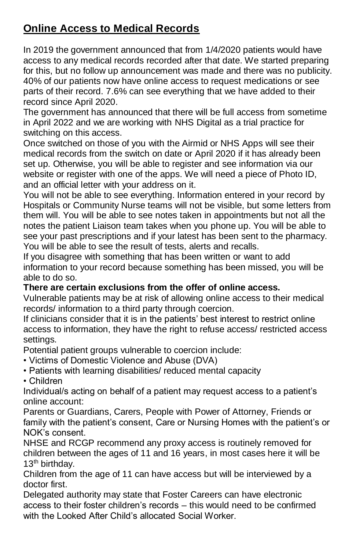# **Online Access to Medical Records**

In 2019 the government announced that from 1/4/2020 patients would have access to any medical records recorded after that date. We started preparing for this, but no follow up announcement was made and there was no publicity. 40% of our patients now have online access to request medications or see parts of their record. 7.6% can see everything that we have added to their record since April 2020.

The government has announced that there will be full access from sometime in April 2022 and we are working with NHS Digital as a trial practice for switching on this access.

Once switched on those of you with the Airmid or NHS Apps will see their medical records from the switch on date or April 2020 if it has already been set up. Otherwise, you will be able to register and see information via our website or register with one of the apps. We will need a piece of Photo ID, and an official letter with your address on it.

You will not be able to see everything. Information entered in your record by Hospitals or Community Nurse teams will not be visible, but some letters from them will. You will be able to see notes taken in appointments but not all the notes the patient Liaison team takes when you phone up. You will be able to see your past prescriptions and if your latest has been sent to the pharmacy. You will be able to see the result of tests, alerts and recalls.

If you disagree with something that has been written or want to add information to your record because something has been missed, you will be able to do so.

#### **There are certain exclusions from the offer of online access.**

Vulnerable patients may be at risk of allowing online access to their medical records/ information to a third party through coercion.

If clinicians consider that it is in the patients' best interest to restrict online access to information, they have the right to refuse access/ restricted access settings.

Potential patient groups vulnerable to coercion include:

- Victims of Domestic Violence and Abuse (DVA)
- Patients with learning disabilities/ reduced mental capacity

• Children

Individual/s acting on behalf of a patient may request access to a patient's online account:

Parents or Guardians, Carers, People with Power of Attorney, Friends or family with the patient's consent, Care or Nursing Homes with the patient's or NOK's consent.

NHSE and RCGP recommend any proxy access is routinely removed for children between the ages of 11 and 16 years, in most cases here it will be 13<sup>th</sup> birthday.

Children from the age of 11 can have access but will be interviewed by a doctor first.

Delegated authority may state that Foster Careers can have electronic access to their foster children's records – this would need to be confirmed with the Looked After Child's allocated Social Worker.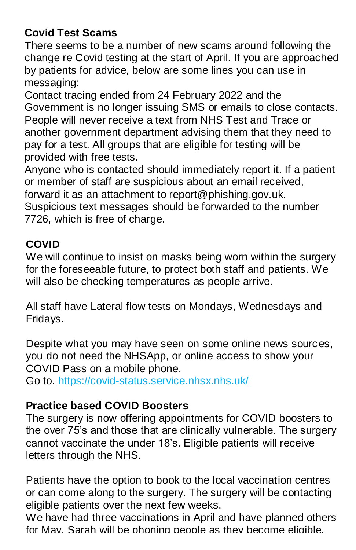# **Covid Test Scams**

There seems to be a number of new scams around following the change re Covid testing at the start of April. If you are approached by patients for advice, below are some lines you can use in messaging:

Contact tracing ended from 24 February 2022 and the Government is no longer issuing SMS or emails to close contacts. People will never receive a text from NHS Test and Trace or another government department advising them that they need to pay for a test. All groups that are eligible for testing will be provided with free tests.

Anyone who is contacted should immediately report it. If a patient or member of staff are suspicious about an email received, forward it as an attachment to report@phishing.gov.uk. Suspicious text messages should be forwarded to the number 7726, which is free of charge.

# **COVID**

We will continue to insist on masks being worn within the surgery for the foreseeable future, to protect both staff and patients. We will also be checking temperatures as people arrive.

All staff have Lateral flow tests on Mondays, Wednesdays and Fridays.

Despite what you may have seen on some online news sources, you do not need the NHSApp, or online access to show your COVID Pass on a mobile phone.

Go to. <https://covid-status.service.nhsx.nhs.uk/>

# **Practice based COVID Boosters**

The surgery is now offering appointments for COVID boosters to the over 75's and those that are clinically vulnerable. The surgery cannot vaccinate the under 18's. Eligible patients will receive letters through the NHS.

Patients have the option to book to the local vaccination centres or can come along to the surgery. The surgery will be contacting eligible patients over the next few weeks.

We have had three vaccinations in April and have planned others for May. Sarah will be phoning people as they become eligible.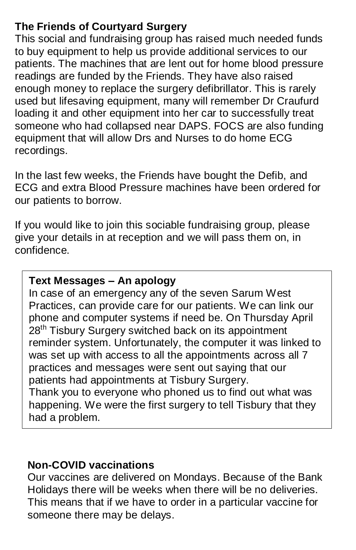# **The Friends of Courtyard Surgery**

This social and fundraising group has raised much needed funds to buy equipment to help us provide additional services to our patients. The machines that are lent out for home blood pressure readings are funded by the Friends. They have also raised enough money to replace the surgery defibrillator. This is rarely used but lifesaving equipment, many will remember Dr Craufurd loading it and other equipment into her car to successfully treat someone who had collapsed near DAPS. FOCS are also funding equipment that will allow Drs and Nurses to do home ECG recordings.

In the last few weeks, the Friends have bought the Defib, and ECG and extra Blood Pressure machines have been ordered for our patients to borrow.

If you would like to join this sociable fundraising group, please give your details in at reception and we will pass them on, in confidence.

### **Text Messages – An apology**

In case of an emergency any of the seven Sarum West Practices, can provide care for our patients. We can link our phone and computer systems if need be. On Thursday April 28<sup>th</sup> Tisbury Surgery switched back on its appointment reminder system. Unfortunately, the computer it was linked to was set up with access to all the appointments across all 7 practices and messages were sent out saying that our patients had appointments at Tisbury Surgery. Thank you to everyone who phoned us to find out what was happening. We were the first surgery to tell Tisbury that they had a problem.

## **Non-COVID vaccinations**

Our vaccines are delivered on Mondays. Because of the Bank Holidays there will be weeks when there will be no deliveries. This means that if we have to order in a particular vaccine for someone there may be delays.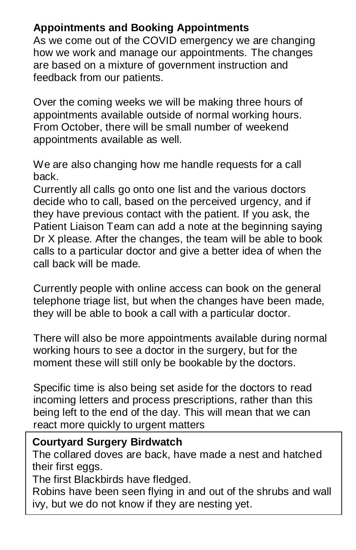## **Appointments and Booking Appointments**

As we come out of the COVID emergency we are changing how we work and manage our appointments. The changes are based on a mixture of government instruction and feedback from our patients.

Over the coming weeks we will be making three hours of appointments available outside of normal working hours. From October, there will be small number of weekend appointments available as well.

We are also changing how me handle requests for a call back.

Currently all calls go onto one list and the various doctors decide who to call, based on the perceived urgency, and if they have previous contact with the patient. If you ask, the Patient Liaison Team can add a note at the beginning saying Dr X please. After the changes, the team will be able to book calls to a particular doctor and give a better idea of when the call back will be made.

Currently people with online access can book on the general telephone triage list, but when the changes have been made, they will be able to book a call with a particular doctor.

There will also be more appointments available during normal working hours to see a doctor in the surgery, but for the moment these will still only be bookable by the doctors.

Specific time is also being set aside for the doctors to read incoming letters and process prescriptions, rather than this being left to the end of the day. This will mean that we can react more quickly to urgent matters

### **Courtyard Surgery Birdwatch**

The collared doves are back, have made a nest and hatched their first eggs.

The first Blackbirds have fledged.

Robins have been seen flying in and out of the shrubs and wall ivy, but we do not know if they are nesting yet.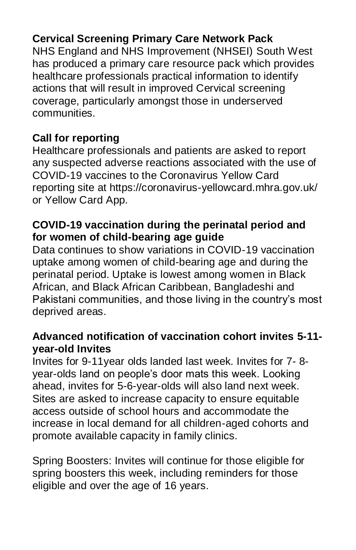## **Cervical Screening Primary Care Network Pack**

NHS England and NHS Improvement (NHSEI) South West has produced a primary care resource pack which provides healthcare professionals practical information to identify actions that will result in improved Cervical screening coverage, particularly amongst those in underserved communities.

# **Call for reporting**

Healthcare professionals and patients are asked to report any suspected adverse reactions associated with the use of COVID-19 vaccines to the Coronavirus Yellow Card reporting site at https://coronavirus-yellowcard.mhra.gov.uk/ or Yellow Card App.

### **COVID-19 vaccination during the perinatal period and for women of child-bearing age guide**

Data continues to show variations in COVID-19 vaccination uptake among women of child-bearing age and during the perinatal period. Uptake is lowest among women in Black African, and Black African Caribbean, Bangladeshi and Pakistani communities, and those living in the country's most deprived areas.

### **Advanced notification of vaccination cohort invites 5-11 year-old Invites**

Invites for 9-11year olds landed last week. Invites for 7- 8 year-olds land on people's door mats this week. Looking ahead, invites for 5-6-year-olds will also land next week. Sites are asked to increase capacity to ensure equitable access outside of school hours and accommodate the increase in local demand for all children-aged cohorts and promote available capacity in family clinics.

Spring Boosters: Invites will continue for those eligible for spring boosters this week, including reminders for those eligible and over the age of 16 years.